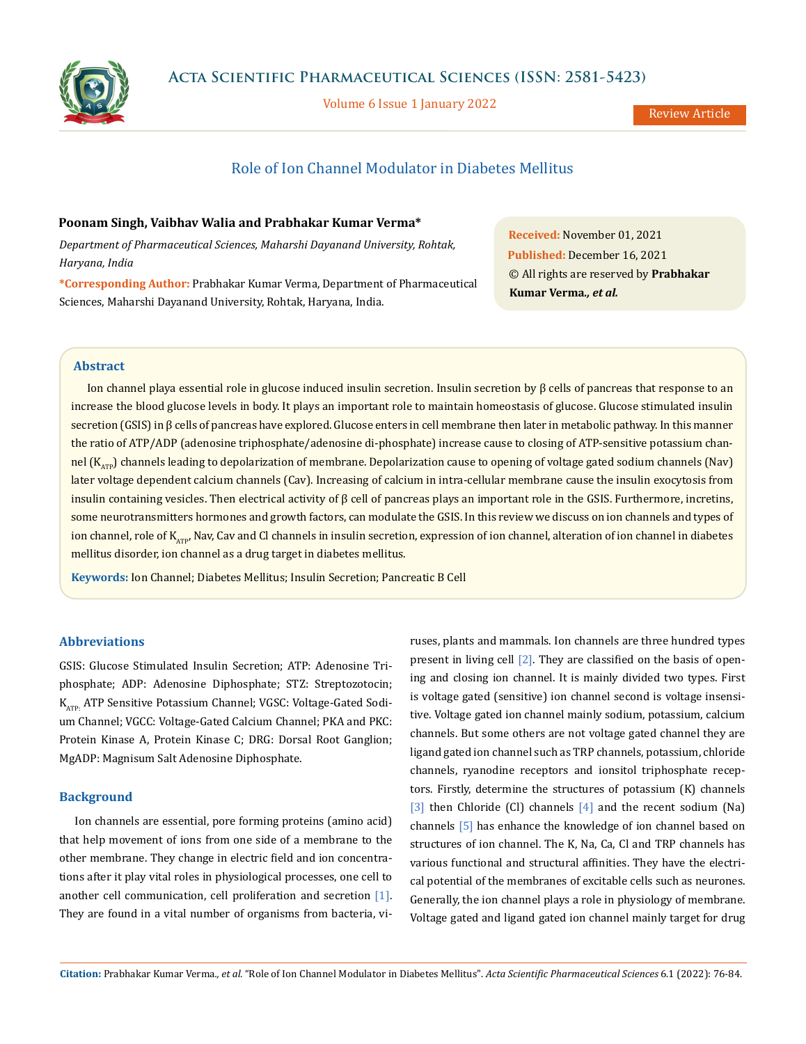

Volume 6 Issue 1 January 2022

# Role of Ion Channel Modulator in Diabetes Mellitus

## **Poonam Singh, Vaibhav Walia and Prabhakar Kumar Verma\***

*Department of Pharmaceutical Sciences, Maharshi Dayanand University, Rohtak, Haryana, India*

**\*Corresponding Author:** Prabhakar Kumar Verma, Department of Pharmaceutical Sciences, Maharshi Dayanand University, Rohtak, Haryana, India.

**Received:** November 01, 2021 **Published:** December 16, 2021 © All rights are reserved by **Prabhakar Kumar Verma***., et al.*

## **Abstract**

Ion channel playa essential role in glucose induced insulin secretion. Insulin secretion by β cells of pancreas that response to an increase the blood glucose levels in body. It plays an important role to maintain homeostasis of glucose. Glucose stimulated insulin secretion (GSIS) in β cells of pancreas have explored. Glucose enters in cell membrane then later in metabolic pathway. In this manner the ratio of ATP/ADP (adenosine triphosphate/adenosine di-phosphate) increase cause to closing of ATP-sensitive potassium channel  $(K_{ATP})$  channels leading to depolarization of membrane. Depolarization cause to opening of voltage gated sodium channels (Nav) later voltage dependent calcium channels (Cav). Increasing of calcium in intra-cellular membrane cause the insulin exocytosis from insulin containing vesicles. Then electrical activity of β cell of pancreas plays an important role in the GSIS. Furthermore, incretins, some neurotransmitters hormones and growth factors, can modulate the GSIS. In this review we discuss on ion channels and types of ion channel, role of K<sub>ATP</sub>, Nav, Cav and Cl channels in insulin secretion, expression of ion channel, alteration of ion channel in diabetes mellitus disorder, ion channel as a drug target in diabetes mellitus.

**Keywords:** Ion Channel; Diabetes Mellitus; Insulin Secretion; Pancreatic Β Cell

## **Abbreviations**

GSIS: Glucose Stimulated Insulin Secretion; ATP: Adenosine Triphosphate; ADP: Adenosine Diphosphate; STZ: Streptozotocin; K<sub>ATP</sub>. ATP Sensitive Potassium Channel; VGSC: Voltage-Gated Sodium Channel; VGCC: Voltage-Gated Calcium Channel; PKA and PKC: Protein Kinase A, Protein Kinase C; DRG: Dorsal Root Ganglion; MgADP: Magnisum Salt Adenosine Diphosphate.

## **Background**

Ion channels are essential, pore forming proteins (amino acid) that help movement of ions from one side of a membrane to the other membrane. They change in electric field and ion concentrations after it play vital roles in physiological processes, one cell to another cell communication, cell proliferation and secretion [1]. They are found in a vital number of organisms from bacteria, viruses, plants and mammals. Ion channels are three hundred types present in living cell [2]. They are classified on the basis of opening and closing ion channel. It is mainly divided two types. First is voltage gated (sensitive) ion channel second is voltage insensitive. Voltage gated ion channel mainly sodium, potassium, calcium channels. But some others are not voltage gated channel they are ligand gated ion channel such as TRP channels, potassium, chloride channels, ryanodine receptors and ionsitol triphosphate receptors. Firstly, determine the structures of potassium (K) channels  $[3]$  then Chloride (Cl) channels  $[4]$  and the recent sodium (Na) channels [5] has enhance the knowledge of ion channel based on structures of ion channel. The K, Na, Ca, Cl and TRP channels has various functional and structural affinities. They have the electrical potential of the membranes of excitable cells such as neurones. Generally, the ion channel plays a role in physiology of membrane. Voltage gated and ligand gated ion channel mainly target for drug

**Citation:** Prabhakar Kumar Verma*., et al.* "Role of Ion Channel Modulator in Diabetes Mellitus". *Acta Scientific Pharmaceutical Sciences* 6.1 (2022): 76-84.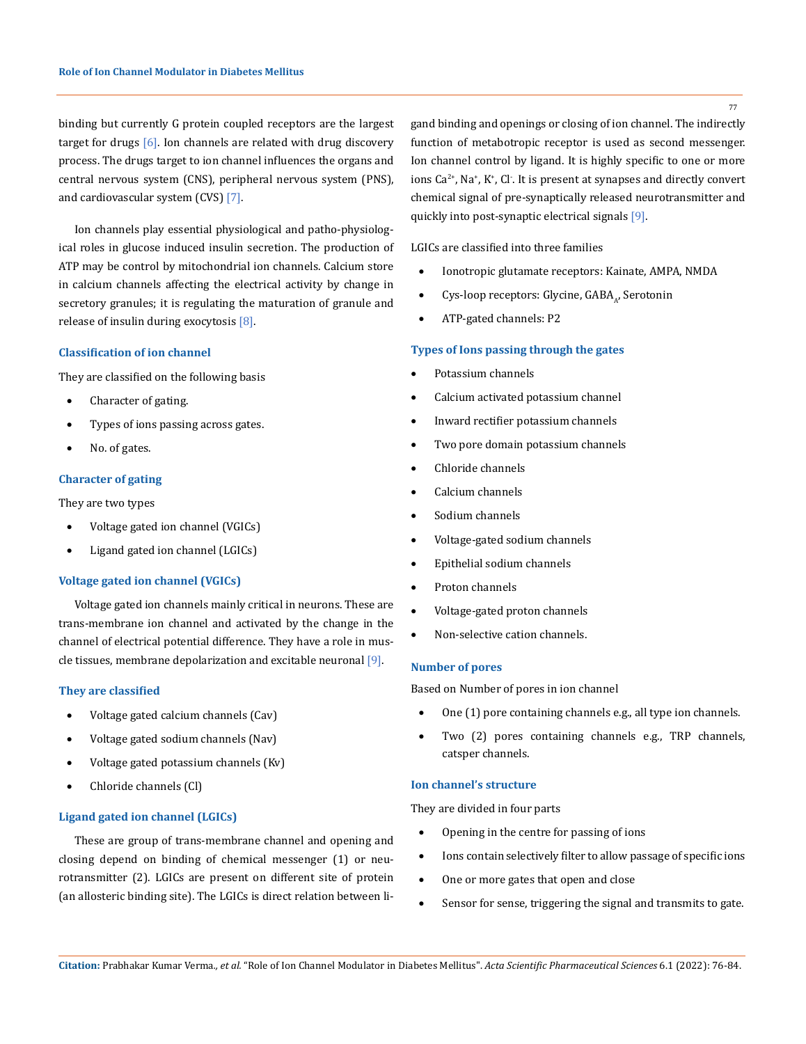binding but currently G protein coupled receptors are the largest target for drugs  $[6]$ . Ion channels are related with drug discovery process. The drugs target to ion channel influences the organs and central nervous system (CNS), peripheral nervous system (PNS), and cardiovascular system (CVS) [7].

Ion channels play essential physiological and patho-physiological roles in glucose induced insulin secretion. The production of ATP may be control by mitochondrial ion channels. Calcium store in calcium channels affecting the electrical activity by change in secretory granules; it is regulating the maturation of granule and release of insulin during exocytosis [8].

## **Classification of ion channel**

They are classified on the following basis

- Character of gating.
- Types of ions passing across gates.
- No. of gates.

## **Character of gating**

They are two types

- • Voltage gated ion channel (VGICs)
- Ligand gated ion channel (LGICs)

## **Voltage gated ion channel (VGICs)**

Voltage gated ion channels mainly critical in neurons. These are trans-membrane ion channel and activated by the change in the channel of electrical potential difference. They have a role in muscle tissues, membrane depolarization and excitable neuronal [9].

#### **They are classified**

- Voltage gated calcium channels (Cav)
- Voltage gated sodium channels (Nav)
- Voltage gated potassium channels (Kv)
- Chloride channels (Cl)

### **Ligand gated ion channel (LGICs)**

These are group of trans-membrane channel and opening and closing depend on binding of chemical messenger (1) or neurotransmitter (2). LGICs are present on different site of protein (an allosteric binding site). The LGICs is direct relation between ligand binding and openings or closing of ion channel. The indirectly function of metabotropic receptor is used as second messenger. Ion channel control by ligand. It is highly specific to one or more ions  $Ca^{2+}$ , Na<sup>+</sup>, K<sup>+</sup>, Cl<sup>-</sup>. It is present at synapses and directly convert chemical signal of pre-synaptically released neurotransmitter and quickly into post-synaptic electrical signals [9].

LGICs are classified into three families

- Ionotropic glutamate receptors: Kainate, AMPA, NMDA
- Cys-loop receptors: Glycine, GABA<sub>4</sub>, Serotonin
- • ATP-gated channels: P2

## **Types of Ions passing through the gates**

- Potassium channels
- Calcium activated potassium channel
- Inward rectifier potassium channels
- Two pore domain potassium channels
- Chloride channels
- Calcium channels
- Sodium channels
- Voltage-gated sodium channels
- Epithelial sodium channels
- Proton channels
- • Voltage-gated proton channels
- Non-selective cation channels.

### **Number of pores**

Based on Number of pores in ion channel

- One (1) pore containing channels e.g., all type ion channels.
- • Two (2) pores containing channels e.g., TRP channels, catsper channels.

## **Ion channel's structure**

They are divided in four parts

- Opening in the centre for passing of ions
- • Ions contain selectively filter to allow passage of specific ions
- One or more gates that open and close
- Sensor for sense, triggering the signal and transmits to gate.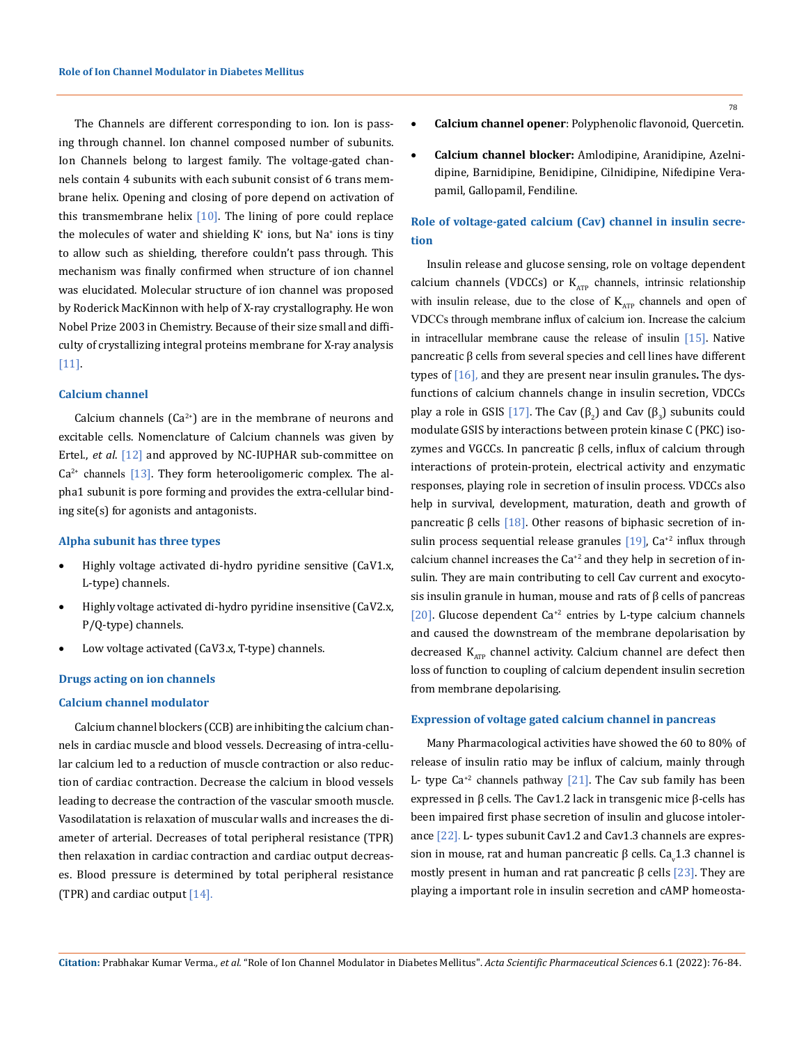The Channels are different corresponding to ion. Ion is passing through channel. Ion channel composed number of subunits. Ion Channels belong to largest family. The voltage-gated channels contain 4 subunits with each subunit consist of 6 trans membrane helix. Opening and closing of pore depend on activation of this transmembrane helix  $[10]$ . The lining of pore could replace the molecules of water and shielding K<sup>+</sup> ions, but Na<sup>+</sup> ions is tiny to allow such as shielding, therefore couldn't pass through. This mechanism was finally confirmed when structure of ion channel was elucidated. Molecular structure of ion channel was proposed by Roderick MacKinnon with help of X-ray crystallography. He won Nobel Prize 2003 in Chemistry. Because of their size small and difficulty of crystallizing integral proteins membrane for X-ray analysis [11].

## **Calcium channel**

Calcium channels  $(Ca^{2+})$  are in the membrane of neurons and excitable cells. Nomenclature of Calcium channels was given by Ertel., *et al*. [12] and approved by NC-IUPHAR sub-committee on  $Ca<sup>2+</sup>$  channels [13]. They form heterooligomeric complex. The alpha1 subunit is pore forming and provides the extra-cellular binding site(s) for agonists and antagonists.

## **Alpha subunit has three types**

- Highly voltage activated di-hydro pyridine sensitive (CaV1.x, L-type) channels.
- Highly voltage activated di-hydro pyridine insensitive (CaV2.x, P/Q-type) channels.
- Low voltage activated (CaV3.x, T-type) channels.

#### **Drugs acting on ion channels**

## **Calcium channel modulator**

Calcium channel blockers (CCB) are inhibiting the calcium channels in cardiac muscle and blood vessels. Decreasing of intra-cellular calcium led to a reduction of muscle contraction or also reduction of cardiac contraction. Decrease the calcium in blood vessels leading to decrease the contraction of the vascular smooth muscle. Vasodilatation is relaxation of muscular walls and increases the diameter of arterial. Decreases of total peripheral resistance (TPR) then relaxation in cardiac contraction and cardiac output decreases. Blood pressure is determined by total peripheral resistance (TPR) and cardiac output [14].

- **Calcium channel opener**: Polyphenolic flavonoid, Quercetin.
- • **Calcium channel blocker:** Amlodipine, Aranidipine, Azelnidipine, Barnidipine, Benidipine, Cilnidipine, Nifedipine Verapamil, Gallopamil, Fendiline.

## **Role of voltage-gated calcium (Cav) channel in insulin secretion**

Insulin release and glucose sensing, role on voltage dependent calcium channels (VDCCs) or  $K_{ATP}$  channels, intrinsic relationship with insulin release, due to the close of  $K_{ATP}$  channels and open of VDCCs through membrane influx of calcium ion. Increase the calcium in intracellular membrane cause the release of insulin [15]. Native pancreatic β cells from several species and cell lines have different types of [16], and they are present near insulin granules**.** The dysfunctions of calcium channels change in insulin secretion, VDCCs play a role in GSIS [17]. The Cav ( $\beta_2$ ) and Cav ( $\beta_3$ ) subunits could modulate GSIS by interactions between protein kinase C (PKC) isozymes and VGCCs. In pancreatic β cells, influx of calcium through interactions of protein-protein, electrical activity and enzymatic responses, playing role in secretion of insulin process. VDCCs also help in survival, development, maturation, death and growth of pancreatic β cells  $[18]$ . Other reasons of biphasic secretion of insulin process sequential release granules  $[19]$ , Ca<sup>+2</sup> influx through calcium channel increases the  $Ca^{+2}$  and they help in secretion of insulin. They are main contributing to cell Cav current and exocytosis insulin granule in human, mouse and rats of β cells of pancreas [20]. Glucose dependent Ca<sup>+2</sup> entries by L-type calcium channels and caused the downstream of the membrane depolarisation by decreased  $K_{ATP}$  channel activity. Calcium channel are defect then loss of function to coupling of calcium dependent insulin secretion from membrane depolarising.

## **Expression of voltage gated calcium channel in pancreas**

Many Pharmacological activities have showed the 60 to 80% of release of insulin ratio may be influx of calcium, mainly through L- type  $Ca^{2}$  channels pathway [21]. The Cav sub family has been expressed in β cells. The Cav1.2 lack in transgenic mice β-cells has been impaired first phase secretion of insulin and glucose intolerance [22]. L- types subunit Cav1.2 and Cav1.3 channels are expression in mouse, rat and human pancreatic β cells. Ca<sub>v</sub>1.3 channel is mostly present in human and rat pancreatic β cells [23]. They are playing a important role in insulin secretion and cAMP homeosta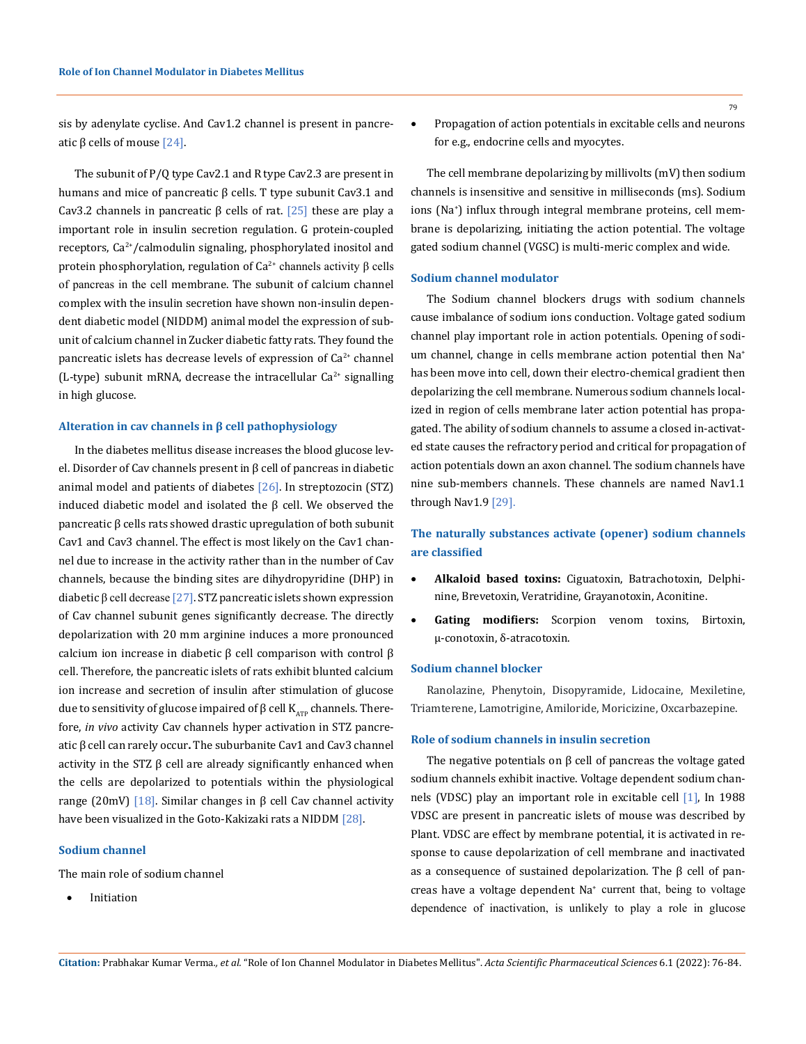sis by adenylate cyclise. And Cav1.2 channel is present in pancreatic β cells of mouse  $[24]$ .

The subunit of P/Q type Cav2.1 and R type Cav2.3 are present in humans and mice of pancreatic β cells. T type subunit Cav3.1 and Cav3.2 channels in pancreatic β cells of rat. [25] these are play a important role in insulin secretion regulation. G protein-coupled receptors,  $Ca^{2+}/cal$ ralmodulin signaling, phosphorylated inositol and protein phosphorylation, regulation of  $Ca<sup>2+</sup>$  channels activity β cells of pancreas in the cell membrane. The subunit of calcium channel complex with the insulin secretion have shown non-insulin dependent diabetic model (NIDDM) animal model the expression of subunit of calcium channel in Zucker diabetic fatty rats. They found the pancreatic islets has decrease levels of expression of  $Ca<sup>2+</sup>$  channel (L-type) subunit mRNA, decrease the intracellular  $Ca^{2+}$  signalling in high glucose.

## **Alteration in cav channels in β cell pathophysiology**

In the diabetes mellitus disease increases the blood glucose level. Disorder of Cav channels present in β cell of pancreas in diabetic animal model and patients of diabetes  $[26]$ . In streptozocin (STZ) induced diabetic model and isolated the β cell. We observed the pancreatic β cells rats showed drastic upregulation of both subunit Cav1 and Cav3 channel. The effect is most likely on the Cav1 channel due to increase in the activity rather than in the number of Cav channels, because the binding sites are dihydropyridine (DHP) in diabetic β cell decrease [27]. STZ pancreatic islets shown expression of Cav channel subunit genes significantly decrease. The directly depolarization with 20 mm arginine induces a more pronounced calcium ion increase in diabetic  $β$  cell comparison with control  $β$ cell. Therefore, the pancreatic islets of rats exhibit blunted calcium ion increase and secretion of insulin after stimulation of glucose due to sensitivity of glucose impaired of β cell  $K_{ATP}$  channels. Therefore, *in vivo* activity Cav channels hyper activation in STZ pancreatic β cell can rarely occur**.** The suburbanite Cav1 and Cav3 channel activity in the STZ β cell are already significantly enhanced when the cells are depolarized to potentials within the physiological range (20mV) [18]. Similar changes in β cell Cav channel activity have been visualized in the Goto-Kakizaki rats a NIDDM [28].

## **Sodium channel**

The main role of sodium channel

**Initiation** 

The cell membrane depolarizing by millivolts (mV) then sodium channels is insensitive and sensitive in milliseconds (ms). Sodium ions (Na+ ) influx through integral membrane proteins, cell membrane is depolarizing, initiating the action potential. The voltage gated sodium channel (VGSC) is multi-meric complex and wide.

#### **Sodium channel modulator**

The Sodium channel blockers drugs with sodium channels cause imbalance of sodium ions conduction. Voltage gated sodium channel play important role in action potentials. Opening of sodium channel, change in cells membrane action potential then Na<sup>+</sup> has been move into cell, down their electro-chemical gradient then depolarizing the cell membrane. Numerous sodium channels localized in region of cells membrane later action potential has propagated. The ability of sodium channels to assume a closed in-activated state causes the refractory period and critical for propagation of action potentials down an axon channel. The sodium channels have nine sub-members channels. These channels are named Nav1.1 through Nav1.9 [29].

## **The naturally substances activate (opener) sodium channels are classified**

- • **Alkaloid based toxins:** Ciguatoxin, Batrachotoxin, Delphinine, Brevetoxin, Veratridine, Grayanotoxin, Aconitine.
- • **Gating modifiers:** Scorpion venom toxins, Birtoxin, μ-conotoxin, δ-atracotoxin.

## **Sodium channel blocker**

Ranolazine, Phenytoin, Disopyramide, Lidocaine, Mexiletine, Triamterene, Lamotrigine, Amiloride, Moricizine, Oxcarbazepine.

## **Role of sodium channels in insulin secretion**

The negative potentials on  $\beta$  cell of pancreas the voltage gated sodium channels exhibit inactive. Voltage dependent sodium channels (VDSC) play an important role in excitable cell [1], In 1988 VDSC are present in pancreatic islets of mouse was described by Plant. VDSC are effect by membrane potential, it is activated in response to cause depolarization of cell membrane and inactivated as a consequence of sustained depolarization. The β cell of pancreas have a voltage dependent Na<sup>+</sup> current that, being to voltage dependence of inactivation, is unlikely to play a role in glucose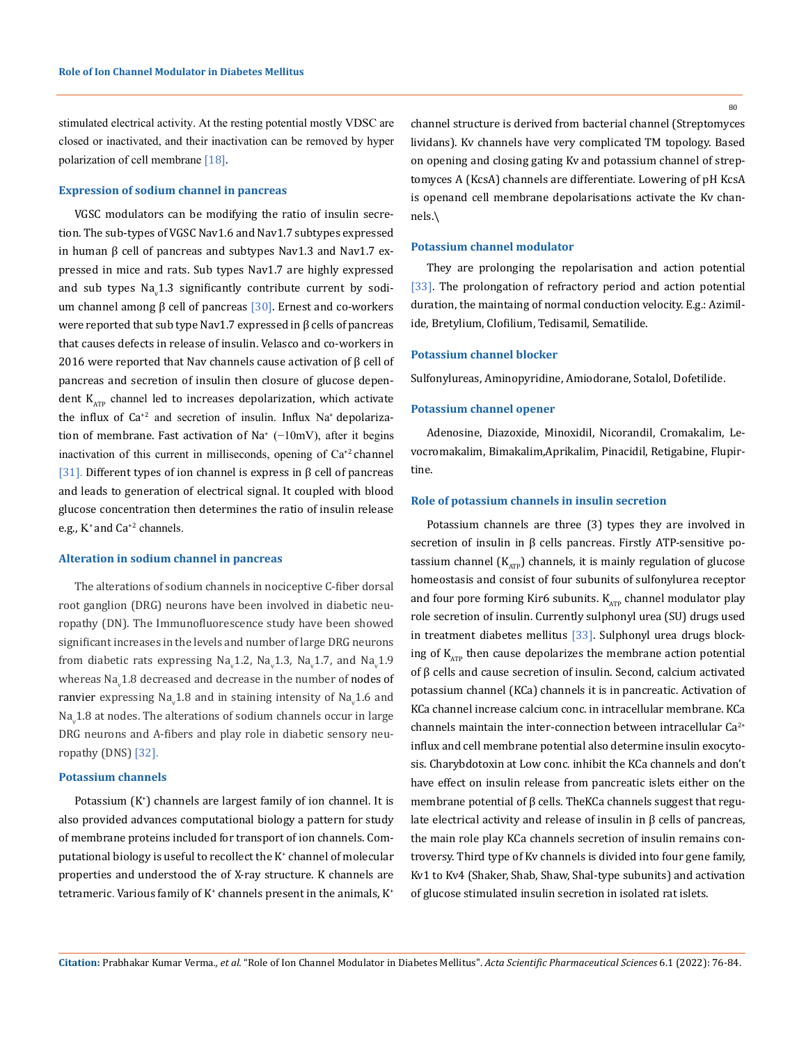stimulated electrical activity. At the resting potential mostly VDSC are closed or inactivated, and their inactivation can be removed by hyper polarization of cell membrane [18].

#### **Expression of sodium channel in pancreas**

VGSC modulators can be modifying the ratio of insulin secretion. The sub-types of VGSC Nav1.6 and Nav1.7 subtypes expressed in human  $β$  cell of pancreas and subtypes Nav1.3 and Nav1.7 expressed in mice and rats. Sub types Nav1.7 are highly expressed and sub types  $\text{Na}_{\text{v}}1.3$  significantly contribute current by sodium channel among β cell of pancreas [30]. Ernest and co-workers were reported that sub type Nav1.7 expressed in β cells of pancreas that causes defects in release of insulin. Velasco and co-workers in 2016 were reported that Nav channels cause activation of β cell of pancreas and secretion of insulin then closure of glucose dependent  $K_{ATP}$  channel led to increases depolarization, which activate the influx of  $Ca^{2}$  and secretion of insulin. Influx Na<sup>+</sup> depolarization of membrane. Fast activation of Na<sup>+</sup> (-10mV), after it begins inactivation of this current in milliseconds, opening of  $Ca^{2}$  channel [31]. Different types of ion channel is express in β cell of pancreas and leads to generation of electrical signal. It coupled with blood glucose concentration then determines the ratio of insulin release e.g., K+ and Ca+2 channels.

#### **Alteration in sodium channel in pancreas**

The alterations of sodium channels in nociceptive C-fiber dorsal root ganglion (DRG) neurons have been involved in diabetic neuropathy (DN). The Immunofluorescence study have been showed significant increases in the levels and number of large DRG neurons from diabetic rats expressing Na<sub>v</sub>1.2, Na<sub>v</sub>1.3, Na<sub>v</sub>1.7, and Na<sub>v</sub>1.9 whereas Na<sub>v</sub>1.8 decreased and decrease in the number of **nodes of** ranvier expressing Na<sub>v</sub>1.8 and in staining intensity of Na<sub>v</sub>1.6 and Na $_{\rm v}$ 1.8 at nodes. The alterations of sodium channels occur in large DRG neurons and A-fibers and play role in diabetic sensory neuropathy (DNS) [32].

## **Potassium channels**

Potassium (K<sup>+</sup> ) channels are largest family of ion channel. It is also provided advances computational biology a pattern for study of membrane proteins included for transport of ion channels. Computational biology is useful to recollect the K+ channel of molecular properties and understood the of X-ray structure. K channels are tetrameric. Various family of  $K^*$  channels present in the animals,  $K^*$ 

80

channel structure is derived from bacterial channel (Streptomyces lividans). Kv channels have very complicated TM topology. Based on opening and closing gating Kv and potassium channel of streptomyces A (KcsA) channels are differentiate. Lowering of pH KcsA is openand cell membrane depolarisations activate the Kv channels.\

## **Potassium channel modulator**

They are prolonging the repolarisation and action potential [33]. The prolongation of refractory period and action potential duration, the maintaing of normal conduction velocity. E.g.: Azimilide, Bretylium, Clofilium, Tedisamil, Sematilide.

## **Potassium channel blocker**

Sulfonylureas, Aminopyridine, Amiodorane, Sotalol, Dofetilide.

#### **Potassium channel opener**

Adenosine, Diazoxide, Minoxidil, Nicorandil, Cromakalim, Levocromakalim, Bimakalim,Aprikalim, Pinacidil, Retigabine, Flupirtine.

## **Role of potassium channels in insulin secretion**

Potassium channels are three (3) types they are involved in secretion of insulin in β cells pancreas. Firstly ATP-sensitive potassium channel  $(K_{ATP})$  channels, it is mainly regulation of glucose homeostasis and consist of four subunits of sulfonylurea receptor and four pore forming Kir6 subunits.  $K_{ATP}$  channel modulator play role secretion of insulin. Currently sulphonyl urea (SU) drugs used in treatment diabetes mellitus [33]. Sulphonyl urea drugs blocking of  $K_{\text{app}}$  then cause depolarizes the membrane action potential of β cells and cause secretion of insulin. Second, calcium activated potassium channel (KCa) channels it is in pancreatic. Activation of KCa channel increase calcium conc. in intracellular membrane. KCa channels maintain the inter-connection between intracellular  $Ca^{2+}$ influx and cell membrane potential also determine insulin exocytosis. Charybdotoxin at Low conc. inhibit the KCa channels and don't have effect on insulin release from pancreatic islets either on the membrane potential of β cells. TheKCa channels suggest that regulate electrical activity and release of insulin in β cells of pancreas, the main role play KCa channels secretion of insulin remains controversy. Third type of Kv channels is divided into four gene family, Kv1 to Kv4 (Shaker, Shab, Shaw, Shal-type subunits) and activation of glucose stimulated insulin secretion in isolated rat islets.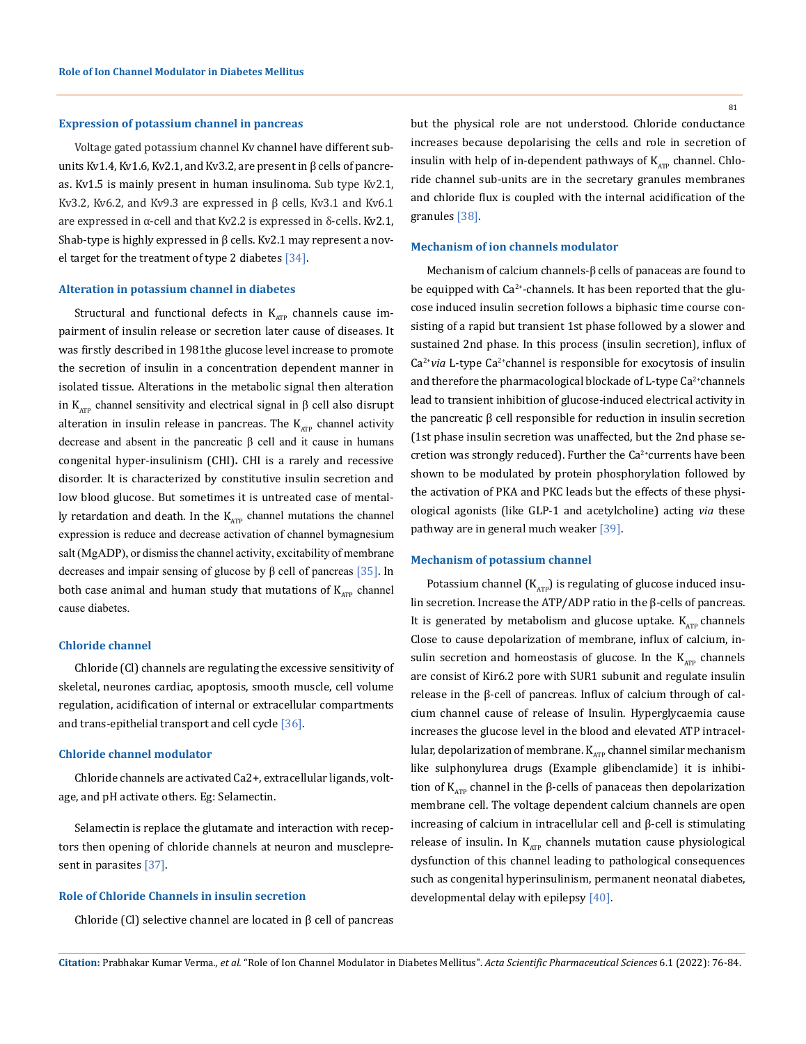#### **Expression of potassium channel in pancreas**

Voltage gated potassium channel Kv channel have different subunits Kv1.4, Kv1.6, Kv2.1, and Kv3.2, are present in β cells of pancreas. Kv1.5 is mainly present in human insulinoma. Sub type Kv2.1, Kv3.2, Kv6.2, and Kv9.3 are expressed in  $\beta$  cells, Kv3.1 and Kv6.1 are expressed in  $α$ -cell and that Kv2.2 is expressed in δ-cells. Kv2.1, Shab-type is highly expressed in β cells. Kv2.1 may represent a novel target for the treatment of type 2 diabetes  $[34]$ .

## **Alteration in potassium channel in diabetes**

Structural and functional defects in  $K_{ATP}$  channels cause impairment of insulin release or secretion later cause of diseases. It was firstly described in 1981the glucose level increase to promote the secretion of insulin in a concentration dependent manner in isolated tissue. Alterations in the metabolic signal then alteration in K<sub>ATP</sub> channel sensitivity and electrical signal in  $\beta$  cell also disrupt alteration in insulin release in pancreas. The  $K_{ATP}$  channel activity decrease and absent in the pancreatic β cell and it cause in humans congenital hyper-insulinism (CHI)**.** CHI is a rarely and recessive disorder. It is characterized by constitutive insulin secretion and low blood glucose. But sometimes it is untreated case of mentally retardation and death. In the  $K_{ATP}$  channel mutations the channel expression is reduce and decrease activation of channel bymagnesium salt (MgADP), or dismiss the channel activity, excitability of membrane decreases and impair sensing of glucose by  $\beta$  cell of pancreas [35]. In both case animal and human study that mutations of  $K_{ATP}$  channel cause diabetes.

## **Chloride channel**

Chloride (Cl) channels are regulating the excessive sensitivity of skeletal, neurones cardiac, apoptosis, smooth muscle, cell volume regulation, acidification of internal or extracellular compartments and trans-epithelial transport and cell cycle [36].

#### **Chloride channel modulator**

Chloride channels are activated Ca2+, extracellular ligands, voltage, and pH activate others. Eg: Selamectin.

Selamectin is replace the glutamate and interaction with receptors then opening of chloride channels at neuron and musclepresent in parasites [37].

#### **Role of Chloride Channels in insulin secretion**

Chloride (Cl) selective channel are located in β cell of pancreas

but the physical role are not understood. Chloride conductance increases because depolarising the cells and role in secretion of insulin with help of in-dependent pathways of  $K_{\text{app}}$  channel. Chloride channel sub-units are in the secretary granules membranes and chloride flux is coupled with the internal acidification of the granules [38].

## **Mechanism of ion channels modulator**

Mechanism of calcium channels-β cells of panaceas are found to be equipped with  $Ca^{2+}$ -channels. It has been reported that the glucose induced insulin secretion follows a biphasic time course consisting of a rapid but transient 1st phase followed by a slower and sustained 2nd phase. In this process (insulin secretion), influx of Ca<sup>2+</sup>via L-type Ca<sup>2+</sup>channel is responsible for exocytosis of insulin and therefore the pharmacological blockade of L-type  $Ca^{2+}$ channels lead to transient inhibition of glucose-induced electrical activity in the pancreatic β cell responsible for reduction in insulin secretion (1st phase insulin secretion was unaffected, but the 2nd phase secretion was strongly reduced). Further the  $Ca<sup>2+</sup>$  currents have been shown to be modulated by protein phosphorylation followed by the activation of PKA and PKC leads but the effects of these physiological agonists (like GLP-1 and acetylcholine) acting *via* these pathway are in general much weaker [39].

## **Mechanism of potassium channel**

Potassium channel  $(K<sub>ATP</sub>)$  is regulating of glucose induced insulin secretion. Increase the ATP/ADP ratio in the β-cells of pancreas. It is generated by metabolism and glucose uptake.  $K_{ATP}$  channels Close to cause depolarization of membrane, influx of calcium, insulin secretion and homeostasis of glucose. In the  $K_{ATP}$  channels are consist of Kir6.2 pore with SUR1 subunit and regulate insulin release in the β-cell of pancreas. Influx of calcium through of calcium channel cause of release of Insulin. Hyperglycaemia cause increases the glucose level in the blood and elevated ATP intracellular, depolarization of membrane.  $K_{ATP}$  channel similar mechanism like sulphonylurea drugs (Example glibenclamide) it is inhibition of  $K_{ATP}$  channel in the β-cells of panaceas then depolarization membrane cell. The voltage dependent calcium channels are open increasing of calcium in intracellular cell and β-cell is stimulating release of insulin. In  $K_{ATP}$  channels mutation cause physiological dysfunction of this channel leading to pathological consequences such as congenital hyperinsulinism, permanent neonatal diabetes, developmental delay with epilepsy [40].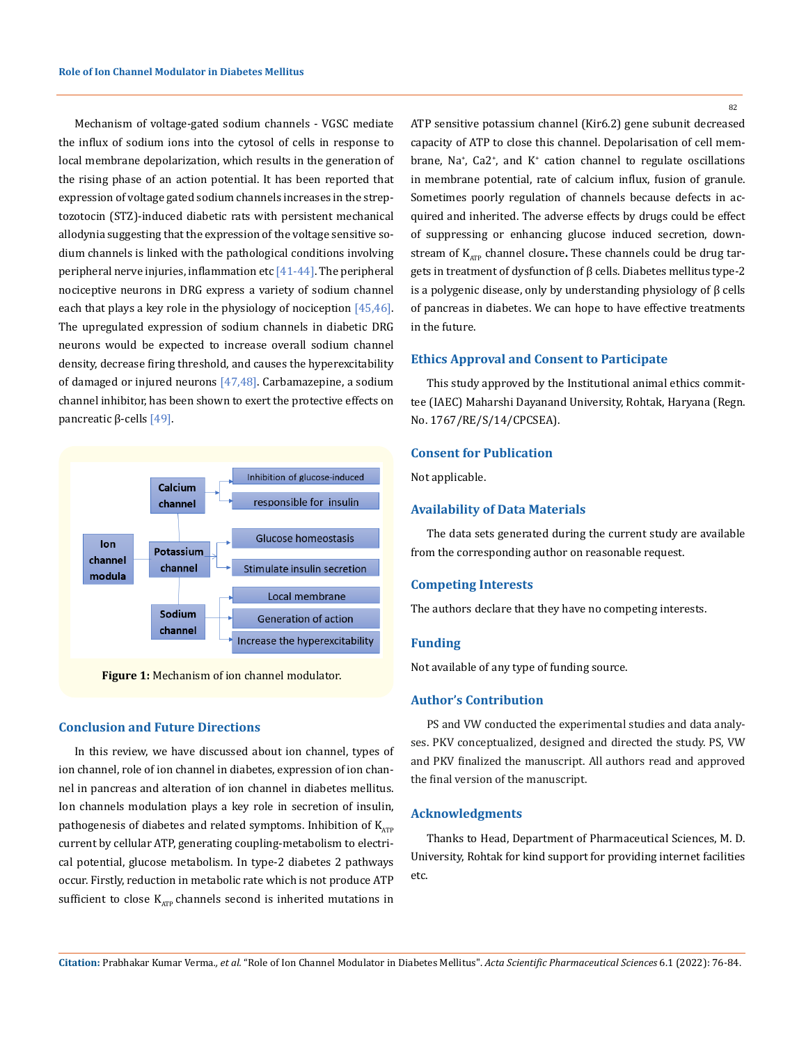Mechanism of voltage-gated sodium channels - VGSC mediate the influx of sodium ions into the cytosol of cells in response to local membrane depolarization, which results in the generation of the rising phase of an action potential. It has been reported that expression of voltage gated sodium channels increases in the streptozotocin (STZ)-induced diabetic rats with persistent mechanical allodynia suggesting that the expression of the voltage sensitive sodium channels is linked with the pathological conditions involving peripheral nerve injuries, inflammation etc  $[41-44]$ . The peripheral nociceptive neurons in DRG express a variety of sodium channel each that plays a key role in the physiology of nociception [45,46]. The upregulated expression of sodium channels in diabetic DRG neurons would be expected to increase overall sodium channel density, decrease firing threshold, and causes the hyperexcitability of damaged or injured neurons  $[47,48]$ . Carbamazepine, a sodium channel inhibitor, has been shown to exert the protective effects on pancreatic β-cells [49].



**Figure 1:** Mechanism of ion channel modulator.

### **Conclusion and Future Directions**

In this review, we have discussed about ion channel, types of ion channel, role of ion channel in diabetes, expression of ion channel in pancreas and alteration of ion channel in diabetes mellitus. Ion channels modulation plays a key role in secretion of insulin, pathogenesis of diabetes and related symptoms. Inhibition of  $K_{ATP}$ current by cellular ATP, generating coupling-metabolism to electrical potential, glucose metabolism. In type-2 diabetes 2 pathways occur. Firstly, reduction in metabolic rate which is not produce ATP sufficient to close  $K_{\text{app}}$  channels second is inherited mutations in

82

ATP sensitive potassium channel (Kir6.2) gene subunit decreased capacity of ATP to close this channel. Depolarisation of cell membrane, Na+ , Ca2+ , and K+ cation channel to regulate oscillations in membrane potential, rate of calcium influx, fusion of granule. Sometimes poorly regulation of channels because defects in acquired and inherited. The adverse effects by drugs could be effect of suppressing or enhancing glucose induced secretion, downstream of K<sub>ATP</sub> channel closure. These channels could be drug targets in treatment of dysfunction of β cells. Diabetes mellitus type-2 is a polygenic disease, only by understanding physiology of β cells of pancreas in diabetes. We can hope to have effective treatments in the future.

## **Ethics Approval and Consent to Participate**

This study approved by the Institutional animal ethics committee (IAEC) Maharshi Dayanand University, Rohtak, Haryana (Regn. No. 1767/RE/S/14/CPCSEA).

## **Consent for Publication**

Not applicable.

### **Availability of Data Materials**

The data sets generated during the current study are available from the corresponding author on reasonable request.

## **Competing Interests**

The authors declare that they have no competing interests.

## **Funding**

Not available of any type of funding source.

## **Author's Contribution**

PS and VW conducted the experimental studies and data analyses. PKV conceptualized, designed and directed the study. PS, VW and PKV finalized the manuscript. All authors read and approved the final version of the manuscript.

### **Acknowledgments**

Thanks to Head, Department of Pharmaceutical Sciences, M. D. University, Rohtak for kind support for providing internet facilities etc.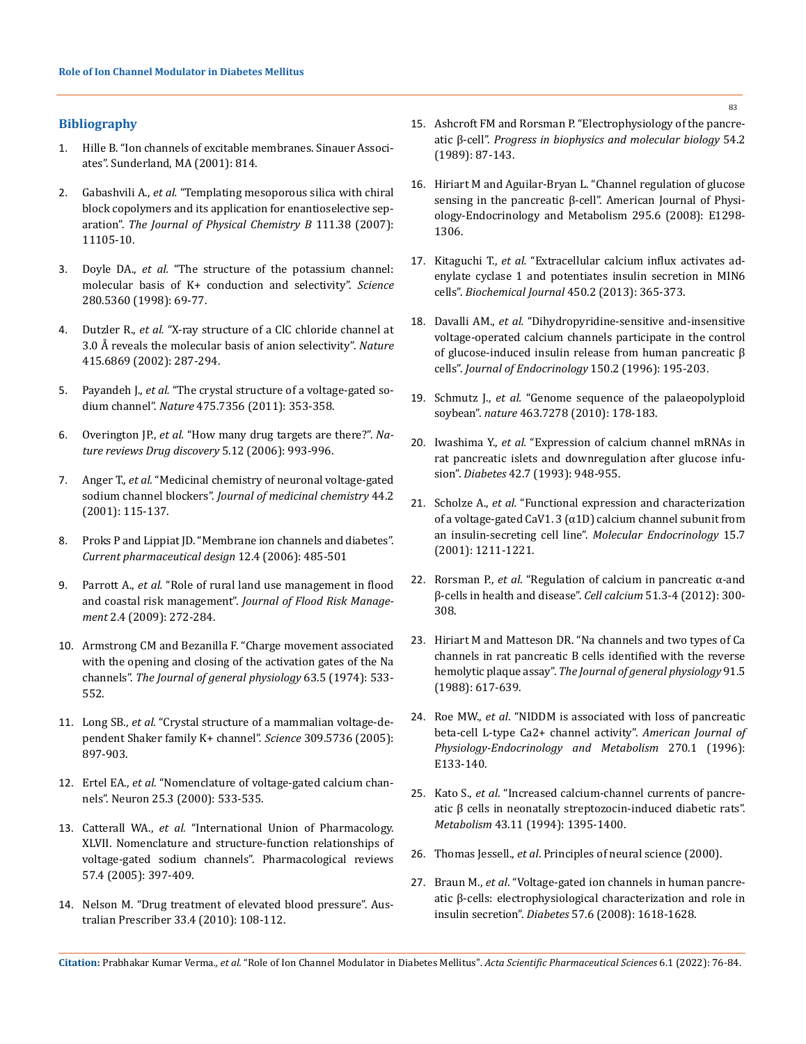## **Bibliography**

- 1. [Hille B. "Ion channels of excitable membranes. Sinauer Associ](https://www.sinauer.com/media/wysiwyg/tocs/IonChannels3.pdf)[ates". Sunderland, MA \(2001\): 814.](https://www.sinauer.com/media/wysiwyg/tocs/IonChannels3.pdf)
- 2. Gabashvili A., *et al.* ["Templating mesoporous silica with chiral](https://pubmed.ncbi.nlm.nih.gov/17727283/)  [block copolymers and its application for enantioselective sep](https://pubmed.ncbi.nlm.nih.gov/17727283/)aration". *[The Journal of Physical Chemistry B](https://pubmed.ncbi.nlm.nih.gov/17727283/)* 111.38 (2007): [11105-10.](https://pubmed.ncbi.nlm.nih.gov/17727283/)
- 3. Doyle DA., *et al.* ["The structure of the potassium channel:](https://pubmed.ncbi.nlm.nih.gov/9525859/)  [molecular basis of K+ conduction and selectivity".](https://pubmed.ncbi.nlm.nih.gov/9525859/) *Science* [280.5360 \(1998\): 69-77.](https://pubmed.ncbi.nlm.nih.gov/9525859/)
- 4. Dutzler R., *et al.* ["X-ray structure of a ClC chloride channel at](https://www.nature.com/articles/415287a)  [3.0 Å reveals the molecular basis of anion selectivity".](https://www.nature.com/articles/415287a) *Nature* [415.6869 \(2002\): 287-294.](https://www.nature.com/articles/415287a)
- 5. Payandeh J., *et al.* ["The crystal structure of a voltage-gated so](https://pubmed.ncbi.nlm.nih.gov/21743477/)dium channel". *Nature* [475.7356 \(2011\): 353-358.](https://pubmed.ncbi.nlm.nih.gov/21743477/)
- 6. Overington JP., *et al.* ["How many drug targets are there?".](https://pubmed.ncbi.nlm.nih.gov/17139284/) *Na[ture reviews Drug discovery](https://pubmed.ncbi.nlm.nih.gov/17139284/)* 5.12 (2006): 993-996.
- 7. Anger T., *et al.* ["Medicinal chemistry of neuronal voltage-gated](https://www.researchgate.net/publication/12158978_Medicinal_Chemistry_of_Neuronal_Voltage-Gated_Sodium_Channel_Blockers)  sodium channel blockers". *[Journal of medicinal chemistry](https://www.researchgate.net/publication/12158978_Medicinal_Chemistry_of_Neuronal_Voltage-Gated_Sodium_Channel_Blockers)* 44.2 [\(2001\): 115-137.](https://www.researchgate.net/publication/12158978_Medicinal_Chemistry_of_Neuronal_Voltage-Gated_Sodium_Channel_Blockers)
- 8. [Proks P and Lippiat JD. "Membrane ion channels and diabetes".](https://www.researchgate.net/publication/7304705_Membrane_Ion_Channels_and_Diabetes)  *[Current pharmaceutical design](https://www.researchgate.net/publication/7304705_Membrane_Ion_Channels_and_Diabetes)* 12.4 (2006): 485-501
- 9. Parrott A., *et al.* ["Role of rural land use management in flood](https://www.researchgate.net/publication/229736884_Role_of_rural_land_use_management_in_flood_and_coastal_risk_management)  and coastal risk management". *[Journal of Flood Risk Manage](https://www.researchgate.net/publication/229736884_Role_of_rural_land_use_management_in_flood_and_coastal_risk_management)ment* [2.4 \(2009\): 272-284.](https://www.researchgate.net/publication/229736884_Role_of_rural_land_use_management_in_flood_and_coastal_risk_management)
- 10. [Armstrong CM and Bezanilla F. "Charge movement associated](https://www.ncbi.nlm.nih.gov/sites/ppmc/articles/PMC2203568/)  [with the opening and closing of the activation gates of the Na](https://www.ncbi.nlm.nih.gov/sites/ppmc/articles/PMC2203568/)  channels". *[The Journal of general physiology](https://www.ncbi.nlm.nih.gov/sites/ppmc/articles/PMC2203568/)* 63.5 (1974): 533- [552.](https://www.ncbi.nlm.nih.gov/sites/ppmc/articles/PMC2203568/)
- 11. Long SB., *et al.* ["Crystal structure of a mammalian voltage-de](https://pubmed.ncbi.nlm.nih.gov/16002581/)[pendent Shaker family K+ channel".](https://pubmed.ncbi.nlm.nih.gov/16002581/) *Science* 309.5736 (2005): [897-903.](https://pubmed.ncbi.nlm.nih.gov/16002581/)
- 12. Ertel EA., *et al.* ["Nomenclature of voltage-gated calcium chan](https://www.researchgate.net/publication/12541459_Nomenclature_of_Voltage-Gated_Calcium_Channels)[nels". Neuron 25.3 \(2000\): 533-535.](https://www.researchgate.net/publication/12541459_Nomenclature_of_Voltage-Gated_Calcium_Channels)
- 13. Catterall WA., *et al.* ["International Union of Pharmacology.](https://pubmed.ncbi.nlm.nih.gov/16382098/)  [XLVII. Nomenclature and structure-function relationships of](https://pubmed.ncbi.nlm.nih.gov/16382098/)  [voltage-gated sodium channels". Pharmacological reviews](https://pubmed.ncbi.nlm.nih.gov/16382098/)  [57.4 \(2005\): 397-409.](https://pubmed.ncbi.nlm.nih.gov/16382098/)
- 14. [Nelson M. "Drug treatment of elevated blood pressure". Aus](https://www.nps.org.au/australian-prescriber/articles/drug-treatment-of-elevated-blood-pressure)[tralian Prescriber 33.4 \(2010\): 108-112.](https://www.nps.org.au/australian-prescriber/articles/drug-treatment-of-elevated-blood-pressure)
- 15. [Ashcroft FM and Rorsman P. "Electrophysiology of the pancre](https://pubmed.ncbi.nlm.nih.gov/2484976/)atic β-cell". *[Progress in biophysics and molecular biology](https://pubmed.ncbi.nlm.nih.gov/2484976/)* 54.2 [\(1989\): 87-143.](https://pubmed.ncbi.nlm.nih.gov/2484976/)
- 16. [Hiriart M and Aguilar-Bryan L. "Channel regulation of glucose](https://pubmed.ncbi.nlm.nih.gov/18940941/)  [sensing in the pancreatic β-cell". American Journal of Physi](https://pubmed.ncbi.nlm.nih.gov/18940941/)[ology-Endocrinology and Metabolism 295.6 \(2008\): E1298-](https://pubmed.ncbi.nlm.nih.gov/18940941/) [1306.](https://pubmed.ncbi.nlm.nih.gov/18940941/)
- 17. Kitaguchi T., *et al.* ["Extracellular calcium influx activates ad](https://pubmed.ncbi.nlm.nih.gov/23282092/)[enylate cyclase 1 and potentiates insulin secretion in MIN6](https://pubmed.ncbi.nlm.nih.gov/23282092/)  cells". *[Biochemical Journal](https://pubmed.ncbi.nlm.nih.gov/23282092/)* 450.2 (2013): 365-373.
- 18. Davalli AM., *et al.* ["Dihydropyridine-sensitive and-insensitive](https://joe.bioscientifica.com/view/journals/joe/150/2/joe_150_2_004.xml)  [voltage-operated calcium channels participate in the control](https://joe.bioscientifica.com/view/journals/joe/150/2/joe_150_2_004.xml)  [of glucose-induced insulin release from human pancreatic β](https://joe.bioscientifica.com/view/journals/joe/150/2/joe_150_2_004.xml)  cells". *[Journal of Endocrinology](https://joe.bioscientifica.com/view/journals/joe/150/2/joe_150_2_004.xml)* 150.2 (1996): 195-203.
- 19. Schmutz J., *et al.* ["Genome sequence of the palaeopolyploid](https://pubmed.ncbi.nlm.nih.gov/20075913/)  soybean". *nature* [463.7278 \(2010\): 178-183.](https://pubmed.ncbi.nlm.nih.gov/20075913/)
- 20. Iwashima Y., *et al.* ["Expression of calcium channel mRNAs in](https://pubmed.ncbi.nlm.nih.gov/7685720/)  [rat pancreatic islets and downregulation after glucose infu](https://pubmed.ncbi.nlm.nih.gov/7685720/)sion". *Diabetes* [42.7 \(1993\): 948-955.](https://pubmed.ncbi.nlm.nih.gov/7685720/)
- 21. Scholze A., *et al.* ["Functional expression and characterization](https://www.researchgate.net/publication/237292310_Functional_Expression_and_Characterization_of_a_Voltage-Gated_CaV13_1D_Calcium_Channel_Subunit_from_an_Insulin-Secreting_Cell_Line)  [of a voltage-gated CaV1. 3 \(α1D\) calcium channel subunit from](https://www.researchgate.net/publication/237292310_Functional_Expression_and_Characterization_of_a_Voltage-Gated_CaV13_1D_Calcium_Channel_Subunit_from_an_Insulin-Secreting_Cell_Line)  [an insulin-secreting cell line".](https://www.researchgate.net/publication/237292310_Functional_Expression_and_Characterization_of_a_Voltage-Gated_CaV13_1D_Calcium_Channel_Subunit_from_an_Insulin-Secreting_Cell_Line) *Molecular Endocrinology* 15.7 [\(2001\): 1211-1221.](https://www.researchgate.net/publication/237292310_Functional_Expression_and_Characterization_of_a_Voltage-Gated_CaV13_1D_Calcium_Channel_Subunit_from_an_Insulin-Secreting_Cell_Line)
- 22. Rorsman P., *et al*[. "Regulation of calcium in pancreatic α-and](https://pubmed.ncbi.nlm.nih.gov/22177710/)  [β-cells in health and disease".](https://pubmed.ncbi.nlm.nih.gov/22177710/) *Cell calcium* 51.3-4 (2012): 300- [308.](https://pubmed.ncbi.nlm.nih.gov/22177710/)
- 23. [Hiriart M and Matteson DR. "Na channels and two types of Ca](https://www.ncbi.nlm.nih.gov/pmc/articles/PMC2216150/)  [channels in rat pancreatic B cells identified with the reverse](https://www.ncbi.nlm.nih.gov/pmc/articles/PMC2216150/)  hemolytic plaque assay". *[The Journal of general physiology](https://www.ncbi.nlm.nih.gov/pmc/articles/PMC2216150/)* 91.5 [\(1988\): 617-639.](https://www.ncbi.nlm.nih.gov/pmc/articles/PMC2216150/)
- 24. Roe MW., *et al*[. "NIDDM is associated with loss of pancreatic](https://pubmed.ncbi.nlm.nih.gov/8772485/)  [beta-cell L-type Ca2+ channel activity".](https://pubmed.ncbi.nlm.nih.gov/8772485/) *American Journal of [Physiology-Endocrinology and Metabolism](https://pubmed.ncbi.nlm.nih.gov/8772485/)* 270.1 (1996): [E133-140.](https://pubmed.ncbi.nlm.nih.gov/8772485/)
- 25. Kato S., *et al*[. "Increased calcium-channel currents of pancre](https://pubmed.ncbi.nlm.nih.gov/7526124/)[atic β cells in neonatally streptozocin-induced diabetic rats".](https://pubmed.ncbi.nlm.nih.gov/7526124/)  *Metabolism* [43.11 \(1994\): 1395-1400.](https://pubmed.ncbi.nlm.nih.gov/7526124/)
- 26. Thomas Jessell., *et al*. Principles of neural science (2000).
- 27. Braun M., *et al*[. "Voltage-gated ion channels in human pancre](https://pubmed.ncbi.nlm.nih.gov/18390794/)[atic β-cells: electrophysiological characterization and role in](https://pubmed.ncbi.nlm.nih.gov/18390794/)  insulin secretion". *Diabetes* [57.6 \(2008\): 1618-1628.](https://pubmed.ncbi.nlm.nih.gov/18390794/)

**Citation:** Prabhakar Kumar Verma*., et al.* "Role of Ion Channel Modulator in Diabetes Mellitus". *Acta Scientific Pharmaceutical Sciences* 6.1 (2022): 76-84.

83